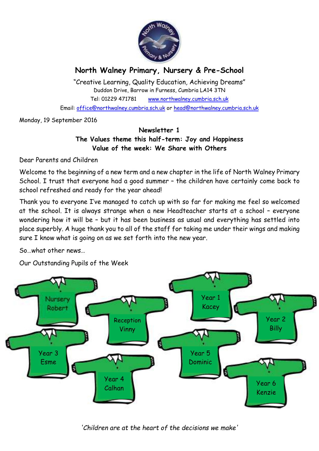

# **North Walney Primary, Nursery & Pre-School**

"Creative Learning, Quality Education, Achieving Dreams" Duddon Drive, Barrow in Furness, Cumbria LA14 3TN Tel: 01229 471781 www.northwalney.cumbria.sch.uk Email: office@northwalney.cumbria.sch.uk or head@northwalney.cumbria.sch.uk

Monday, 19 September 2016

## **Newsletter 1 The Values theme this half-term: Joy and Happiness Value of the week: We Share with Others**

Dear Parents and Children

Welcome to the beginning of a new term and a new chapter in the life of North Walney Primary School. I trust that everyone had a good summer – the children have certainly come back to school refreshed and ready for the year ahead!

Thank you to everyone I've managed to catch up with so far for making me feel so welcomed at the school. It is always strange when a new Headteacher starts at a school – everyone wondering how it will be – but it has been business as usual and everything has settled into place superbly. A huge thank you to all of the staff for taking me under their wings and making sure I know what is going on as we set forth into the new year.

So…what other news…

Our Outstanding Pupils of the Week



*'Children are at the heart of the decisions we make'*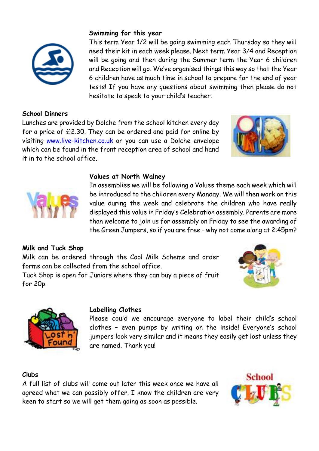

## **School Dinners**

Lunches are provided by Dolche from the school kitchen every day for a price of £2.30. They can be ordered and paid for online by visiting www.live-kitchen.co.uk or you can use a Dolche envelope which can be found in the front reception area of school and hand it in to the school office.

**Swimming for this year**

hesitate to speak to your child's teacher.





#### **Values at North Walney**

In assemblies we will be following a Values theme each week which will be introduced to the children every Monday. We will then work on this value during the week and celebrate the children who have really displayed this value in Friday's Celebration assembly. Parents are more than welcome to join us for assembly on Friday to see the awarding of the Green Jumpers, so if you are free – why not come along at 2:45pm?

This term Year 1/2 will be going swimming each Thursday so they will need their kit in each week please. Next term Year 3/4 and Reception will be going and then during the Summer term the Year 6 children and Reception will go. We've organised things this way so that the Year 6 children have as much time in school to prepare for the end of year tests! If you have any questions about swimming then please do not

#### **Milk and Tuck Shop**

Milk can be ordered through the Cool Milk Scheme and order forms can be collected from the school office.

Tuck Shop is open for Juniors where they can buy a piece of fruit for 20p.





#### **Labelling Clothes**

Please could we encourage everyone to label their child's school clothes – even pumps by writing on the inside! Everyone's school jumpers look very similar and it means they easily get lost unless they are named. Thank you!

#### **Clubs**

A full list of clubs will come out later this week once we have all agreed what we can possibly offer. I know the children are very keen to start so we will get them going as soon as possible.